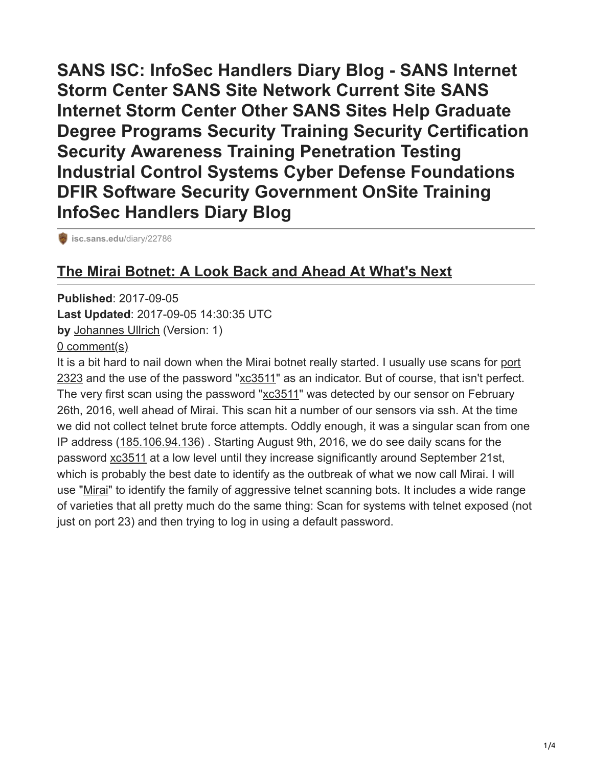**SANS ISC: InfoSec Handlers Diary Blog - SANS Internet Storm Center SANS Site Network Current Site SANS Internet Storm Center Other SANS Sites Help Graduate Degree Programs Security Training Security Certification Security Awareness Training Penetration Testing Industrial Control Systems Cyber Defense Foundations DFIR Software Security Government OnSite Training InfoSec Handlers Diary Blog**

**[isc.sans.edu](https://isc.sans.edu/diary/22786)/diary/22786** 

## **[The Mirai Botnet: A Look Back and Ahead At What's Next](https://isc.sans.edu/forums/diary/The+Mirai+Botnet+A+Look+Back+and+Ahead+At+Whats+Next/22786/)**

**Published**: 2017-09-05 **Last Updated**: 2017-09-05 14:30:35 UTC **by** [Johannes Ullrich](https://plus.google.com/101587262224166552564?rel=author) (Version: 1) [0 comment\(s\)](https://isc.sans.edu/forums/diary/The+Mirai+Botnet+A+Look+Back+and+Ahead+At+Whats+Next/22786/#comments)

It is a bit hard to nail down when the Mirai botnet really started. I usually use scans for port [2323 and the use of the password "xc3511" as an indicator. But of course, that isn't perfect](https://isc.sans.edu/port/2323). The very first scan using the password "[xc3511](https://isc.sans.edu/ssh.html?pw=xc3511)" was detected by our sensor on February 26th, 2016, well ahead of Mirai. This scan hit a number of our sensors via ssh. At the time we did not collect telnet brute force attempts. Oddly enough, it was a singular scan from one IP address ([185.106.94.136](https://isc.sans.edu/ipinfo.html?ip=185.106.94.136)) . Starting August 9th, 2016, we do see daily scans for the password [xc3511](https://isc.sans.edu/ssh.html?pw=xc3511) at a low level until they increase significantly around September 21st, which is probably the best date to identify as the outbreak of what we now call Mirai. I will use "[Mirai"](https://isc.sans.edu/tag.html?tag=mirai) to identify the family of aggressive telnet scanning bots. It includes a wide range of varieties that all pretty much do the same thing: Scan for systems with telnet exposed (not just on port 23) and then trying to log in using a default password.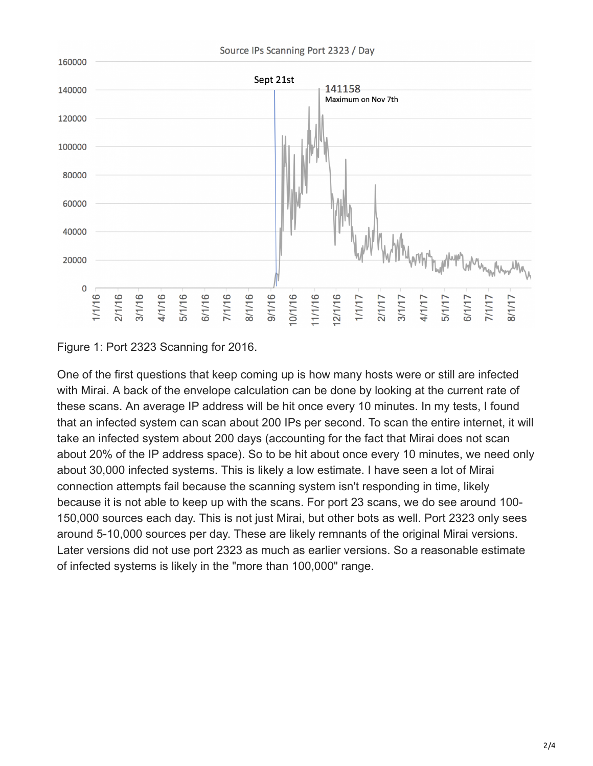

Figure 1: Port 2323 Scanning for 2016.

One of the first questions that keep coming up is how many hosts were or still are infected with Mirai. A back of the envelope calculation can be done by looking at the current rate of these scans. An average IP address will be hit once every 10 minutes. In my tests, I found that an infected system can scan about 200 IPs per second. To scan the entire internet, it will take an infected system about 200 days (accounting for the fact that Mirai does not scan about 20% of the IP address space). So to be hit about once every 10 minutes, we need only about 30,000 infected systems. This is likely a low estimate. I have seen a lot of Mirai connection attempts fail because the scanning system isn't responding in time, likely because it is not able to keep up with the scans. For port 23 scans, we do see around 100- 150,000 sources each day. This is not just Mirai, but other bots as well. Port 2323 only sees around 5-10,000 sources per day. These are likely remnants of the original Mirai versions. Later versions did not use port 2323 as much as earlier versions. So a reasonable estimate of infected systems is likely in the "more than 100,000" range.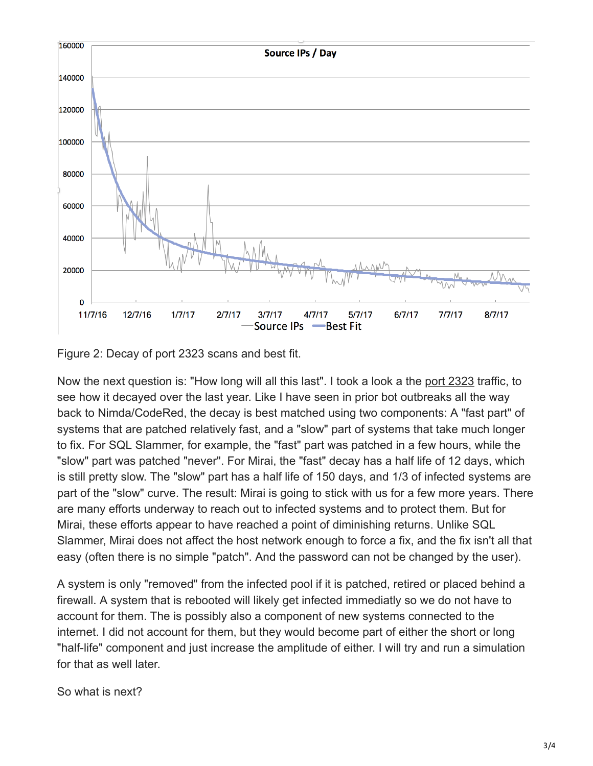

Figure 2: Decay of port 2323 scans and best fit.

Now the next question is: "How long will all this last". I took a look a the [port 2323](https://isc.sans.edu/port/2323) traffic, to see how it decayed over the last year. Like I have seen in prior bot outbreaks all the way back to Nimda/CodeRed, the decay is best matched using two components: A "fast part" of systems that are patched relatively fast, and a "slow" part of systems that take much longer to fix. For SQL Slammer, for example, the "fast" part was patched in a few hours, while the "slow" part was patched "never". For Mirai, the "fast" decay has a half life of 12 days, which is still pretty slow. The "slow" part has a half life of 150 days, and 1/3 of infected systems are part of the "slow" curve. The result: Mirai is going to stick with us for a few more years. There are many efforts underway to reach out to infected systems and to protect them. But for Mirai, these efforts appear to have reached a point of diminishing returns. Unlike SQL Slammer, Mirai does not affect the host network enough to force a fix, and the fix isn't all that easy (often there is no simple "patch". And the password can not be changed by the user).

A system is only "removed" from the infected pool if it is patched, retired or placed behind a firewall. A system that is rebooted will likely get infected immediatly so we do not have to account for them. The is possibly also a component of new systems connected to the internet. I did not account for them, but they would become part of either the short or long "half-life" component and just increase the amplitude of either. I will try and run a simulation for that as well later.

So what is next?